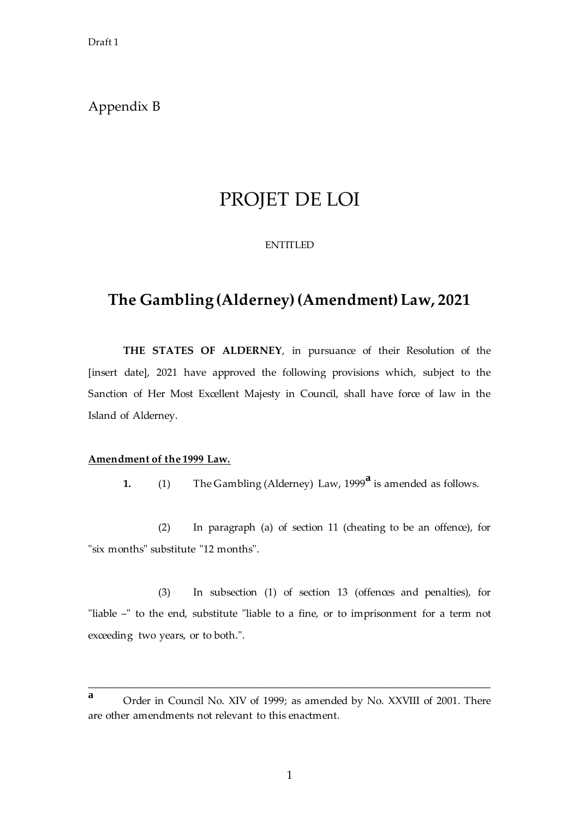Draft 1

### Appendix B

# PROJET DE LOI

#### **ENTITLED**

## **The Gambling (Alderney)(Amendment) Law, 2021**

**THE STATES OF ALDERNEY**, in pursuance of their Resolution of the [insert date], 2021 have approved the following provisions which, subject to the Sanction of Her Most Excellent Majesty in Council, shall have force of law in the Island of Alderney.

### **Amendment of the 1999 Law.**

**1.** (1) The Gambling (Alderney) Law, 1999**<sup>a</sup>** is amended as follows.

(2) In paragraph (a) of section 11 (cheating to be an offence), for "six months" substitute "12 months".

(3) In subsection (1) of section 13 (offences and penalties), for "liable –" to the end, substitute "liable to a fine, or to imprisonment for a term not exceeding two years, or to both.".

\_\_\_\_\_\_\_\_\_\_\_\_\_\_\_\_\_\_\_\_\_\_\_\_\_\_\_\_\_\_\_\_\_\_\_\_\_\_\_\_\_\_\_\_\_\_\_\_\_\_\_\_\_\_\_\_\_\_\_\_\_\_\_\_\_\_\_\_\_

**<sup>a</sup>** Order in Council No. XIV of 1999; as amended by No. XXVIII of 2001. There are other amendments not relevant to this enactment.